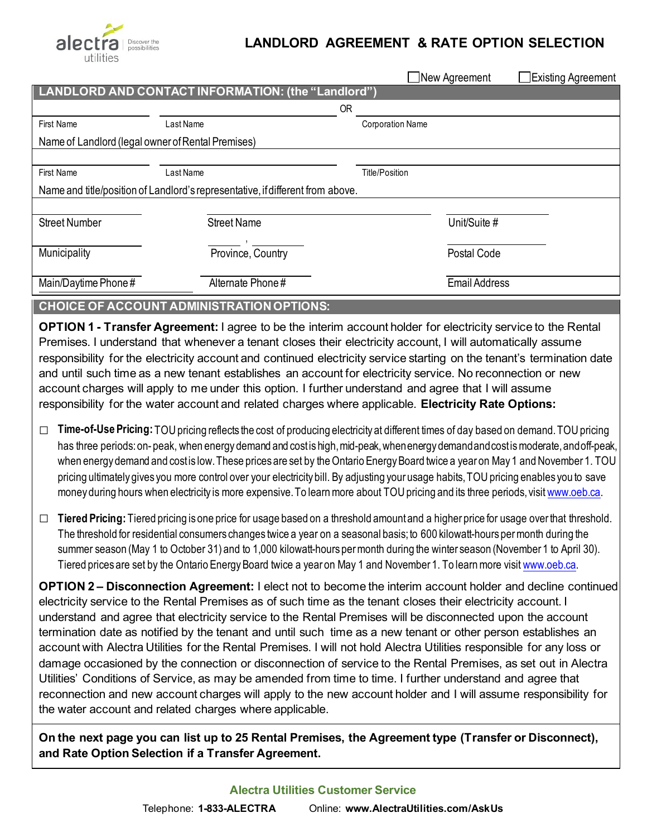

## **LANDLORD AGREEMENT & RATE OPTION SELECTION**

|                                                                                |                    | $\Box$ New Agreement<br>Existing Agreement |  |  |  |  |  |  |  |  |  |
|--------------------------------------------------------------------------------|--------------------|--------------------------------------------|--|--|--|--|--|--|--|--|--|
| LANDLORD AND CONTACT INFORMATION: (the "Landlord")                             |                    |                                            |  |  |  |  |  |  |  |  |  |
|                                                                                |                    | 0R                                         |  |  |  |  |  |  |  |  |  |
| First Name                                                                     | Last Name          | <b>Corporation Name</b>                    |  |  |  |  |  |  |  |  |  |
| Name of Landlord (legal owner of Rental Premises)                              |                    |                                            |  |  |  |  |  |  |  |  |  |
|                                                                                |                    |                                            |  |  |  |  |  |  |  |  |  |
| First Name                                                                     | Last Name          | Title/Position                             |  |  |  |  |  |  |  |  |  |
| Name and title/position of Landlord's representative, if different from above. |                    |                                            |  |  |  |  |  |  |  |  |  |
|                                                                                |                    |                                            |  |  |  |  |  |  |  |  |  |
| <b>Street Number</b>                                                           | <b>Street Name</b> | Unit/Suite #                               |  |  |  |  |  |  |  |  |  |
|                                                                                |                    |                                            |  |  |  |  |  |  |  |  |  |
| Municipality                                                                   | Province, Country  | Postal Code                                |  |  |  |  |  |  |  |  |  |
|                                                                                |                    |                                            |  |  |  |  |  |  |  |  |  |
|                                                                                | Alternate Phone#   | <b>Email Address</b>                       |  |  |  |  |  |  |  |  |  |
| Main/Daytime Phone#                                                            |                    |                                            |  |  |  |  |  |  |  |  |  |

## **CHOICE OF ACCOUNT ADMINISTRATION OPTIONS:**

**OPTION 1 - Transfer Agreement:** I agree to be the interim account holder for electricity service to the Rental Premises. I understand that whenever a tenant closes their electricity account, I will automatically assume responsibility for the electricity account and continued electricity service starting on the tenant's termination date and until such time as a new tenant establishes an account for electricity service. No reconnection or new account charges will apply to me under this option. I further understand and agree that I will assume responsibility for the water account and related charges where applicable. **Electricity Rate Options:**

- □ **Time-of-Use Pricing:** TOU pricing reflects the cost of producing electricity at different times of day based on demand. TOU pricing has three periods: on-peak, when energy demand and cost is high, mid-peak, when energy demand and cost is moderate, and off-peak, when energy demand and cost is low. These prices are set by the Ontario Energy Board twice a year on May 1 and November 1. TOU pricing ultimately gives you more control over your electricity bill. By adjusting your usage habits, TOU pricing enables you to save money during hours when electricity is more expensive. To learn more about TOU pricing and its three periods, visi[t www.oeb.ca.](https://www.oeb.ca/rates-and-your-bill/electricity-rates/understanding-your-electricity-bill)
- □ **Tiered Pricing:** Tiered pricing is one price for usage based on a threshold amount and a higher price for usage over that threshold. The threshold for residential consumers changes twice a year on a seasonal basis; to 600 kilowatt-hours per month during the summer season (May 1 to October 31) and to 1,000 kilowatt-hours per month during the winter season (November 1 to April 30). Tiered prices are set by the Ontario Energy Board twice a year on May 1 and November 1. To learn more visi[t www.oeb.ca.](https://www.oeb.ca/rates-and-your-bill/electricity-rates/understanding-your-electricity-bill)

**OPTION 2 – Disconnection Agreement:** I elect not to become the interim account holder and decline continued electricity service to the Rental Premises as of such time as the tenant closes their electricity account. I understand and agree that electricity service to the Rental Premises will be disconnected upon the account termination date as notified by the tenant and until such time as a new tenant or other person establishes an account with Alectra Utilities for the Rental Premises. I will not hold Alectra Utilities responsible for any loss or damage occasioned by the connection or disconnection of service to the Rental Premises, as set out in Alectra Utilities' Conditions of Service, as may be amended from time to time. I further understand and agree that reconnection and new account charges will apply to the new account holder and I will assume responsibility for the water account and related charges where applicable.

**On the next page you can list up to 25 Rental Premises, the Agreement type (Transfer or Disconnect), and Rate Option Selection if a Transfer Agreement.**